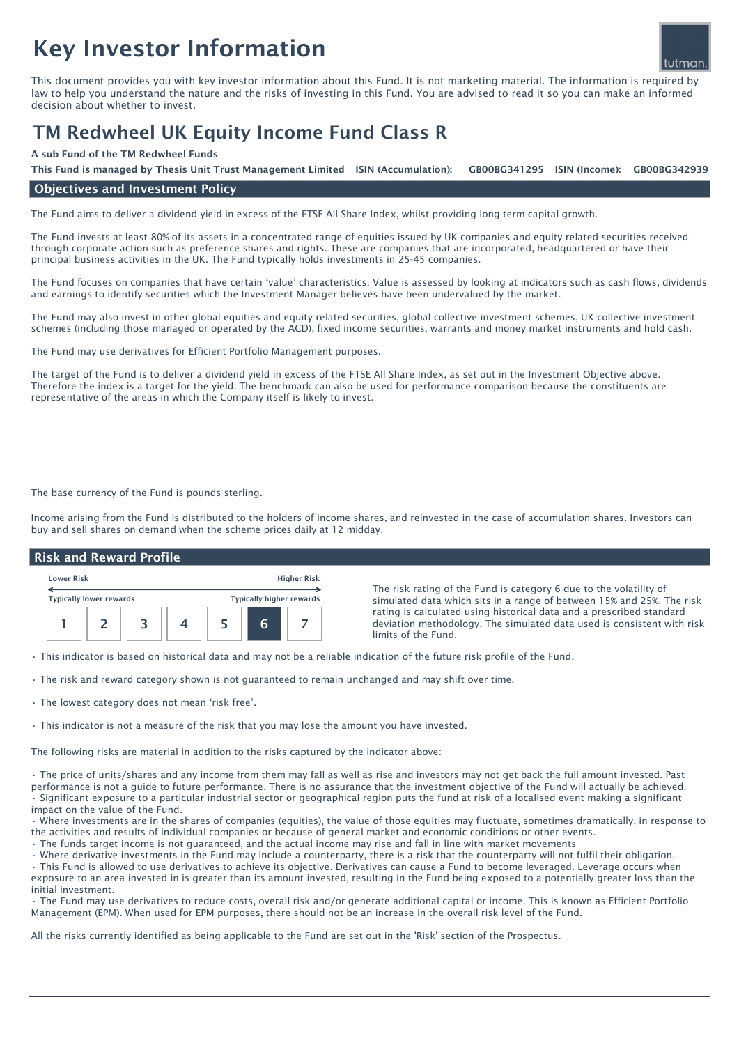# Key Investor Information



This document provides you with key investor information about this Fund. It is not marketing material. The information is required by law to help you understand the nature and the risks of investing in this Fund. You are advised to read it so you can make an informed decision about whether to invest.

## TM Redwheel UK Equity Income Fund Class R

#### A sub Fund of the TM Redwheel Funds

GB00BG341295 ISIN (Income): GB00BG342939 This Fund is managed by Thesis Unit Trust Management Limited ISIN (Accumulation):

### Objectives and Investment Policy

The Fund aims to deliver a dividend yield in excess of the FTSE All Share Index, whilst providing long term capital growth.

The Fund invests at least 80% of its assets in a concentrated range of equities issued by UK companies and equity related securities received through corporate action such as preference shares and rights. These are companies that are incorporated, headquartered or have their principal business activities in the UK. The Fund typically holds investments in 25-45 companies.

The Fund focuses on companies that have certain 'value' characteristics. Value is assessed by looking at indicators such as cash flows, dividends and earnings to identify securities which the Investment Manager believes have been undervalued by the market.

The Fund may also invest in other global equities and equity related securities, global collective investment schemes, UK collective investment schemes (including those managed or operated by the ACD), fixed income securities, warrants and money market instruments and hold cash.

The Fund may use derivatives for Efficient Portfolio Management purposes.

The target of the Fund is to deliver a dividend yield in excess of the FTSE All Share Index, as set out in the Investment Objective above. Therefore the index is a target for the yield. The benchmark can also be used for performance comparison because the constituents are representative of the areas in which the Company itself is likely to invest.

The base currency of the Fund is pounds sterling.

Income arising from the Fund is distributed to the holders of income shares, and reinvested in the case of accumulation shares. Investors can buy and sell shares on demand when the scheme prices daily at 12 midday.

#### Risk and Reward Profile

| <b>Lower Risk</b>              |  |  |  | <b>Higher Risk</b>              |   |  |
|--------------------------------|--|--|--|---------------------------------|---|--|
| <b>Typically lower rewards</b> |  |  |  | <b>Typically higher rewards</b> |   |  |
|                                |  |  |  |                                 | n |  |

The risk rating of the Fund is category 6 due to the volatility of simulated data which sits in a range of between 15% and 25%. The risk rating is calculated using historical data and a prescribed standard deviation methodology. The simulated data used is consistent with risk limits of the Fund.

• This indicator is based on historical data and may not be a reliable indication of the future risk profile of the Fund.

- The risk and reward category shown is not guaranteed to remain unchanged and may shift over time.
- The lowest category does not mean 'risk free'.
- This indicator is not a measure of the risk that you may lose the amount you have invested.

The following risks are material in addition to the risks captured by the indicator above:

• The price of units/shares and any income from them may fall as well as rise and investors may not get back the full amount invested. Past performance is not a guide to future performance. There is no assurance that the investment objective of the Fund will actually be achieved. • Significant exposure to a particular industrial sector or geographical region puts the fund at risk of a localised event making a significant impact on the value of the Fund.

• Where investments are in the shares of companies (equities), the value of those equities may fluctuate, sometimes dramatically, in response to the activities and results of individual companies or because of general market and economic conditions or other events.

• The funds target income is not guaranteed, and the actual income may rise and fall in line with market movements

• Where derivative investments in the Fund may include a counterparty, there is a risk that the counterparty will not fulfil their obligation.

• This Fund is allowed to use derivatives to achieve its objective. Derivatives can cause a Fund to become leveraged. Leverage occurs when exposure to an area invested in is greater than its amount invested, resulting in the Fund being exposed to a potentially greater loss than the initial investment.

• The Fund may use derivatives to reduce costs, overall risk and/or generate additional capital or income. This is known as Efficient Portfolio Management (EPM). When used for EPM purposes, there should not be an increase in the overall risk level of the Fund.

All the risks currently identified as being applicable to the Fund are set out in the 'Risk' section of the Prospectus.